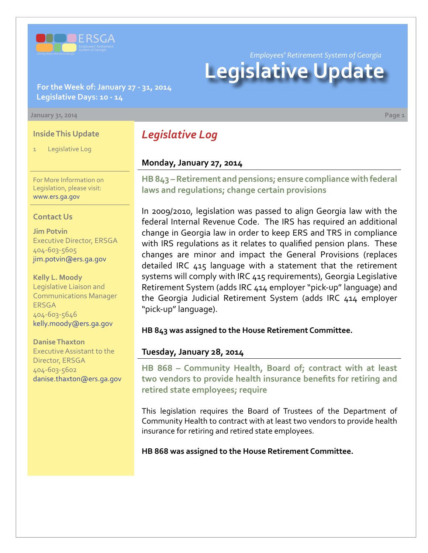

**For the Week of: January 27 - 31, 2014 Legislative Days: 10 - 14**

#### **January 31, 2014 Page 1**

### **Inside This Update**

Legislative Log

For More Information on Legislation, please visit: [www.ers.ga.gov](http://www.ers.ga.gov/default.aspx)

#### **Contact Us**

**Jim Potvin** Executive Director, ERSGA 404-603-5605 jim.potvin@ers.ga.gov

**Kelly L. Moody** Legislative Liaison and Communications Manager ERSGA 404-603-5646 kelly.moody@ers.ga.gov

**Danise Thaxton** Executive Assistant to the Director, ERSGA 404-603-5602 danise.thaxton@ers.ga.gov *Legislative Log*

# **Monday, January 27, 2014**

**HB [843 –](http://www.legis.ga.gov/legislation/en-US/Display/20132014/HB/843) Retirement and pensions; ensure compliance with federal laws and regulations; change certain provisions**

*Employees' Retirement System of Georgia*

**Legislative Update**

In 2009/2010, legislation was passed to align Georgia law with the federal Internal Revenue Code. The IRS has required an additional change in Georgia law in order to keep ERS and TRS in compliance with IRS regulations as it relates to qualified pension plans. These changes are minor and impact the General Provisions (replaces detailed IRC 415 language with a statement that the retirement systems will comply with IRC 415 requirements), Georgia Legislative Retirement System (adds IRC 414 employer "pick-up" language) and the Georgia Judicial Retirement System (adds IRC 414 employer "pick-up" language).

**HB 843 was assigned to the House Retirement Committee.**

# **Tuesday, January 28, 2014**

**HB 868 – Community Health, Board of; contract with at least two vendors to provide health insurance benefits for retiring and retired state employees; require**

This legislation requires the Board of Trustees of the Department of Community Health to contract with at least two vendors to provide health insurance for retiring and retired state employees.

**HB 868 was assigned to the House Retirement Committee.**